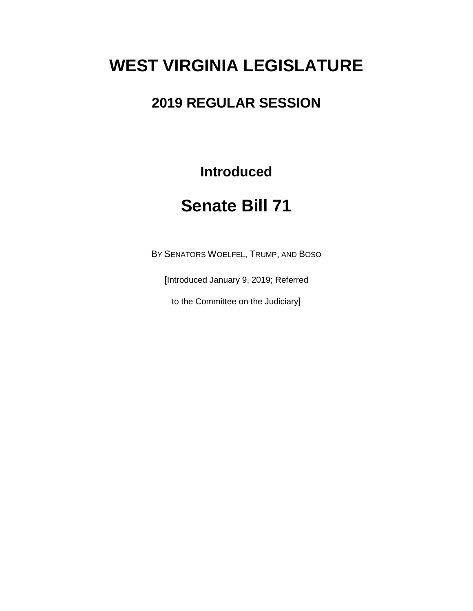# **WEST VIRGINIA LEGISLATURE**

## **2019 REGULAR SESSION**

**Introduced**

## **Senate Bill 71**

BY SENATORS WOELFEL, TRUMP, AND BOSO

[Introduced January 9, 2019; Referred

to the Committee on the Judiciary]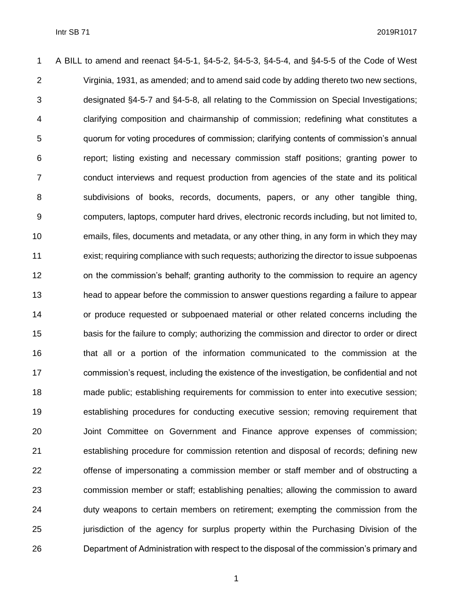A BILL to amend and reenact §4-5-1, §4-5-2, §4-5-3, §4-5-4, and §4-5-5 of the Code of West Virginia, 1931, as amended; and to amend said code by adding thereto two new sections, designated §4-5-7 and §4-5-8, all relating to the Commission on Special Investigations; clarifying composition and chairmanship of commission; redefining what constitutes a quorum for voting procedures of commission; clarifying contents of commission's annual report; listing existing and necessary commission staff positions; granting power to conduct interviews and request production from agencies of the state and its political subdivisions of books, records, documents, papers, or any other tangible thing, computers, laptops, computer hard drives, electronic records including, but not limited to, emails, files, documents and metadata, or any other thing, in any form in which they may exist; requiring compliance with such requests; authorizing the director to issue subpoenas on the commission's behalf; granting authority to the commission to require an agency head to appear before the commission to answer questions regarding a failure to appear or produce requested or subpoenaed material or other related concerns including the basis for the failure to comply; authorizing the commission and director to order or direct that all or a portion of the information communicated to the commission at the commission's request, including the existence of the investigation, be confidential and not made public; establishing requirements for commission to enter into executive session; establishing procedures for conducting executive session; removing requirement that Joint Committee on Government and Finance approve expenses of commission; establishing procedure for commission retention and disposal of records; defining new offense of impersonating a commission member or staff member and of obstructing a commission member or staff; establishing penalties; allowing the commission to award duty weapons to certain members on retirement; exempting the commission from the jurisdiction of the agency for surplus property within the Purchasing Division of the Department of Administration with respect to the disposal of the commission's primary and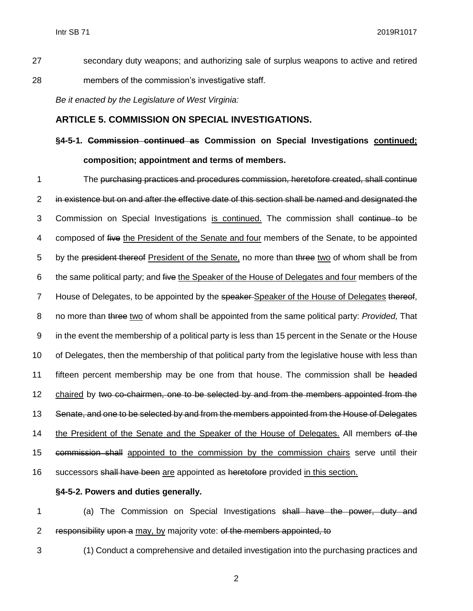- 27 secondary duty weapons; and authorizing sale of surplus weapons to active and retired 28 members of the commission's investigative staff.
	- *Be it enacted by the Legislature of West Virginia:*

#### **ARTICLE 5. COMMISSION ON SPECIAL INVESTIGATIONS.**

### **§4-5-1. Commission continued as Commission on Special Investigations continued; composition; appointment and terms of members.**

1 The purchasing practices and procedures commission, heretofore created, shall continue 2 in existence but on and after the effective date of this section shall be named and designated the 3 Commission on Special Investigations is continued. The commission shall continue to be 4 composed of five the President of the Senate and four members of the Senate, to be appointed 5 by the president thereof President of the Senate, no more than three two of whom shall be from 6 the same political party; and five the Speaker of the House of Delegates and four members of the 7 House of Delegates, to be appointed by the speaker-Speaker of the House of Delegates thereof, 8 no more than three two of whom shall be appointed from the same political party: *Provided,* That 9 in the event the membership of a political party is less than 15 percent in the Senate or the House 10 of Delegates, then the membership of that political party from the legislative house with less than 11 fifteen percent membership may be one from that house. The commission shall be headed 12 chaired by two co-chairmen, one to be selected by and from the members appointed from the 13 Senate, and one to be selected by and from the members appointed from the House of Delegates 14 the President of the Senate and the Speaker of the House of Delegates. All members of the 15 commission shall appointed to the commission by the commission chairs serve until their 16 successors shall have been are appointed as heretofore provided in this section.

#### **§4-5-2. Powers and duties generally.**

1 (a) The Commission on Special Investigations shall have the power, duty and 2 responsibility upon a may, by majority vote: of the members appointed, to

- 3 (1) Conduct a comprehensive and detailed investigation into the purchasing practices and
	- 2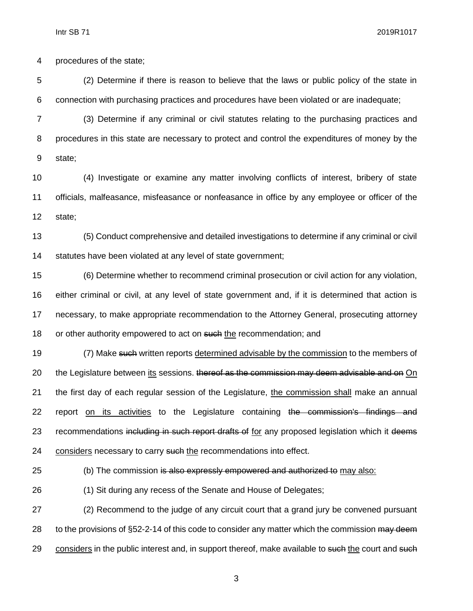Intr SB 71 2019R1017

procedures of the state;

 (2) Determine if there is reason to believe that the laws or public policy of the state in connection with purchasing practices and procedures have been violated or are inadequate;

 (3) Determine if any criminal or civil statutes relating to the purchasing practices and procedures in this state are necessary to protect and control the expenditures of money by the state;

 (4) Investigate or examine any matter involving conflicts of interest, bribery of state officials, malfeasance, misfeasance or nonfeasance in office by any employee or officer of the state;

 (5) Conduct comprehensive and detailed investigations to determine if any criminal or civil statutes have been violated at any level of state government;

 (6) Determine whether to recommend criminal prosecution or civil action for any violation, either criminal or civil, at any level of state government and, if it is determined that action is necessary, to make appropriate recommendation to the Attorney General, prosecuting attorney 18 or other authority empowered to act on such the recommendation; and

19 (7) Make such written reports determined advisable by the commission to the members of 20 the Legislature between its sessions. thereof as the commission may deem advisable and on On the first day of each regular session of the Legislature, the commission shall make an annual 22 report on its activities to the Legislature containing the commission's findings and 23 recommendations including in such report drafts of for any proposed legislation which it deems 24 considers necessary to carry such the recommendations into effect.

25 (b) The commission is also expressly empowered and authorized to may also:

(1) Sit during any recess of the Senate and House of Delegates;

 (2) Recommend to the judge of any circuit court that a grand jury be convened pursuant 28 to the provisions of §52-2-14 of this code to consider any matter which the commission may deem 29 considers in the public interest and, in support thereof, make available to such the court and such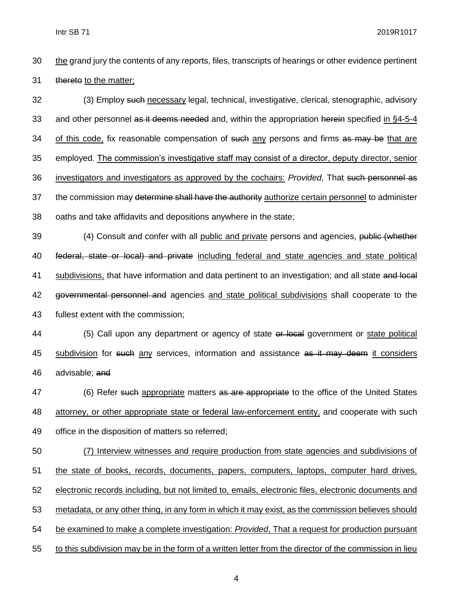Intr SB 71 2019R1017

30 the grand jury the contents of any reports, files, transcripts of hearings or other evidence pertinent 31 thereto to the matter;

32 (3) Employ such necessary legal, technical, investigative, clerical, stenographic, advisory 33 and other personnel as it deems needed and, within the appropriation herein specified in §4-5-4 34 of this code, fix reasonable compensation of such any persons and firms as may be that are 35 employed. The commission's investigative staff may consist of a director, deputy director, senior 36 investigators and investigators as approved by the cochairs: *Provided,* That such personnel as 37 the commission may determine shall have the authority authorize certain personnel to administer 38 oaths and take affidavits and depositions anywhere in the state;

39 (4) Consult and confer with all public and private persons and agencies, public (whether 40 federal, state or local) and private including federal and state agencies and state political 41 subdivisions, that have information and data pertinent to an investigation; and all state and local 42 governmental personnel and agencies and state political subdivisions shall cooperate to the 43 fullest extent with the commission;

44 (5) Call upon any department or agency of state or local government or state political 45 subdivision for such any services, information and assistance as it may deem it considers 46 advisable; and

47 (6) Refer such appropriate matters as are appropriate to the office of the United States 48 attorney, or other appropriate state or federal law-enforcement entity, and cooperate with such 49 office in the disposition of matters so referred;

 (7) Interview witnesses and require production from state agencies and subdivisions of the state of books, records, documents, papers, computers, laptops, computer hard drives, electronic records including, but not limited to, emails, electronic files, electronic documents and metadata, or any other thing, in any form in which it may exist, as the commission believes should be examined to make a complete investigation: *Provided*, That a request for production pursuant to this subdivision may be in the form of a written letter from the director of the commission in lieu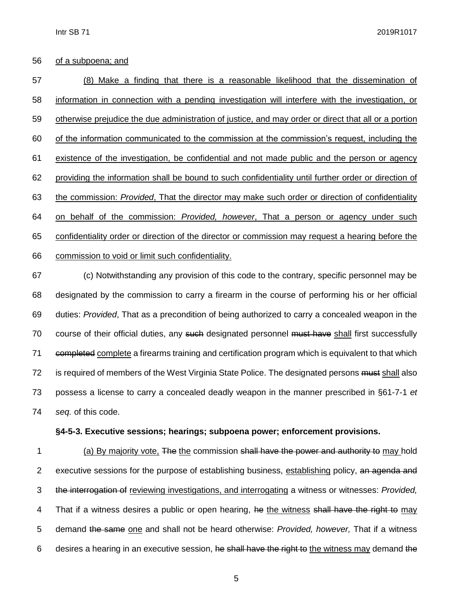#### of a subpoena; and

 (8) Make a finding that there is a reasonable likelihood that the dissemination of information in connection with a pending investigation will interfere with the investigation, or otherwise prejudice the due administration of justice, and may order or direct that all or a portion of the information communicated to the commission at the commission's request, including the existence of the investigation, be confidential and not made public and the person or agency providing the information shall be bound to such confidentiality until further order or direction of the commission: *Provided*, That the director may make such order or direction of confidentiality on behalf of the commission: *Provided, however*, That a person or agency under such confidentiality order or direction of the director or commission may request a hearing before the commission to void or limit such confidentiality.

 (c) Notwithstanding any provision of this code to the contrary, specific personnel may be designated by the commission to carry a firearm in the course of performing his or her official duties: *Provided*, That as a precondition of being authorized to carry a concealed weapon in the 70 course of their official duties, any such designated personnel must have shall first successfully 71 eompleted complete a firearms training and certification program which is equivalent to that which 72 is required of members of the West Virginia State Police. The designated persons must shall also possess a license to carry a concealed deadly weapon in the manner prescribed in §61-7-1 *et seq.* of this code.

#### **§4-5-3. Executive sessions; hearings; subpoena power; enforcement provisions.**

 (a) By majority vote, The the commission shall have the power and authority to may hold 2 executive sessions for the purpose of establishing business, establishing policy, an agenda and the interrogation of reviewing investigations, and interrogating a witness or witnesses: *Provided,* 4 That if a witness desires a public or open hearing, he the witness shall have the right to may demand the same one and shall not be heard otherwise: *Provided, however,* That if a witness 6 desires a hearing in an executive session, he shall have the right to the witness may demand the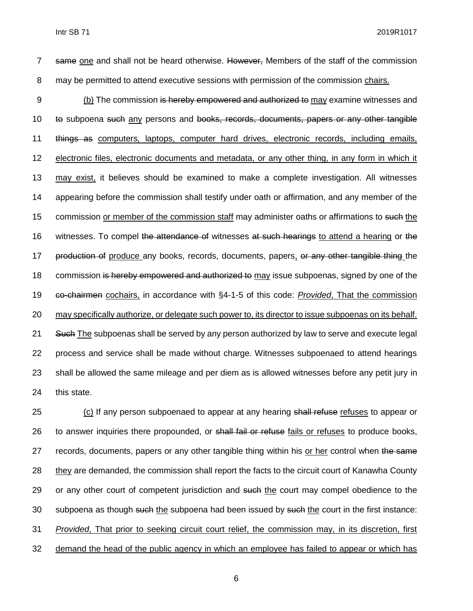7 same one and shall not be heard otherwise. However, Members of the staff of the commission 8 may be permitted to attend executive sessions with permission of the commission chairs.

 (b) The commission is hereby empowered and authorized to may examine witnesses and to subpoena such any persons and books, records, documents, papers or any other tangible things as computers, laptops, computer hard drives, electronic records, including emails, electronic files, electronic documents and metadata, or any other thing, in any form in which it may exist, it believes should be examined to make a complete investigation. All witnesses appearing before the commission shall testify under oath or affirmation, and any member of the 15 commission or member of the commission staff may administer oaths or affirmations to such the 16 witnesses. To compel the attendance of witnesses at such hearings to attend a hearing or the 17 production of produce any books, records, documents, papers, or any other tangible thing the 18 commission is hereby empowered and authorized to may issue subpoenas, signed by one of the co-chairmen cochairs, in accordance with §4-1-5 of this code: *Provided*, That the commission may specifically authorize, or delegate such power to, its director to issue subpoenas on its behalf. 21 Such The subpoenas shall be served by any person authorized by law to serve and execute legal process and service shall be made without charge. Witnesses subpoenaed to attend hearings shall be allowed the same mileage and per diem as is allowed witnesses before any petit jury in this state.

25 (c) If any person subpoenaed to appear at any hearing shall refuse refuses to appear or 26 to answer inquiries there propounded, or shall fail or refuse fails or refuses to produce books, 27 records, documents, papers or any other tangible thing within his or her control when the same 28 they are demanded, the commission shall report the facts to the circuit court of Kanawha County 29 or any other court of competent jurisdiction and such the court may compel obedience to the 30 subpoena as though such the subpoena had been issued by such the court in the first instance: 31 *Provided*, That prior to seeking circuit court relief, the commission may, in its discretion, first 32 demand the head of the public agency in which an employee has failed to appear or which has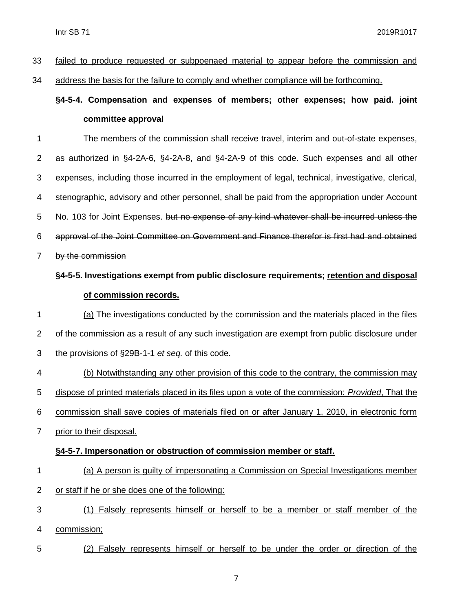| 33 failed to produce requested or subpoenaed material to appear before the commission and |
|-------------------------------------------------------------------------------------------|
|-------------------------------------------------------------------------------------------|

address the basis for the failure to comply and whether compliance will be forthcoming.

### **§4-5-4. Compensation and expenses of members; other expenses; how paid. joint committee approval**

 The members of the commission shall receive travel, interim and out-of-state expenses, as authorized in §4-2A-6, §4-2A-8, and §4-2A-9 of this code. Such expenses and all other expenses, including those incurred in the employment of legal, technical, investigative, clerical, stenographic, advisory and other personnel, shall be paid from the appropriation under Account 5 No. 103 for Joint Expenses. but no expense of any kind whatever shall be incurred unless the approval of the Joint Committee on Government and Finance therefor is first had and obtained by the commission §4-5-5. Investigations exempt from public disclosure requirements; retention and disposal

#### **of commission records.**

 (a) The investigations conducted by the commission and the materials placed in the files of the commission as a result of any such investigation are exempt from public disclosure under the provisions of §29B-1-1 *et seq.* of this code.

 (b) Notwithstanding any other provision of this code to the contrary, the commission may dispose of printed materials placed in its files upon a vote of the commission: *Provided*, That the commission shall save copies of materials filed on or after January 1, 2010, in electronic form

prior to their disposal.

#### **§4-5-7. Impersonation or obstruction of commission member or staff.**

- (a) A person is guilty of impersonating a Commission on Special Investigations member or staff if he or she does one of the following:
- (1) Falsely represents himself or herself to be a member or staff member of the commission;
- (2) Falsely represents himself or herself to be under the order or direction of the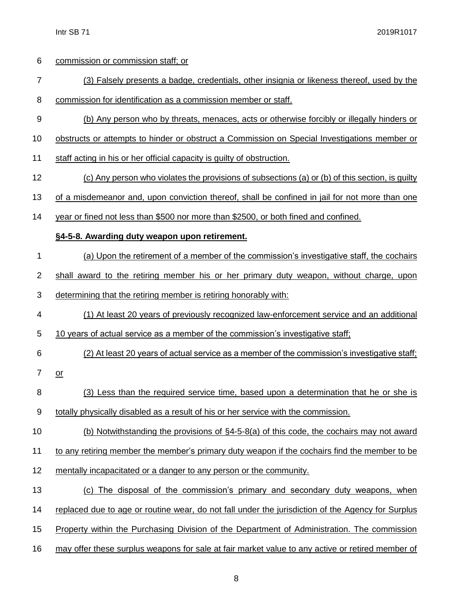| 6                | commission or commission staff; or                                                                |
|------------------|---------------------------------------------------------------------------------------------------|
| $\overline{7}$   | (3) Falsely presents a badge, credentials, other insignia or likeness thereof, used by the        |
| 8                | commission for identification as a commission member or staff.                                    |
| 9                | (b) Any person who by threats, menaces, acts or otherwise forcibly or illegally hinders or        |
| 10               | obstructs or attempts to hinder or obstruct a Commission on Special Investigations member or      |
| 11               | staff acting in his or her official capacity is guilty of obstruction.                            |
| 12               | (c) Any person who violates the provisions of subsections (a) or (b) of this section, is guilty   |
| 13               | of a misdemeanor and, upon conviction thereof, shall be confined in jail for not more than one    |
| 14               | year or fined not less than \$500 nor more than \$2500, or both fined and confined.               |
|                  | §4-5-8. Awarding duty weapon upon retirement.                                                     |
| 1                | (a) Upon the retirement of a member of the commission's investigative staff, the cochairs         |
| $\overline{c}$   | shall award to the retiring member his or her primary duty weapon, without charge, upon           |
| 3                | determining that the retiring member is retiring honorably with:                                  |
| 4                | (1) At least 20 years of previously recognized law-enforcement service and an additional          |
| 5                | 10 years of actual service as a member of the commission's investigative staff;                   |
| 6                | (2) At least 20 years of actual service as a member of the commission's investigative staff;      |
| 7                | $or$                                                                                              |
| 8                | (3) Less than the required service time, based upon a determination that he or she is             |
| $\boldsymbol{9}$ | totally physically disabled as a result of his or her service with the commission.                |
| 10               | (b) Notwithstanding the provisions of §4-5-8(a) of this code, the cochairs may not award          |
| 11               | to any retiring member the member's primary duty weapon if the cochairs find the member to be     |
| 12               | mentally incapacitated or a danger to any person or the community.                                |
| 13               | The disposal of the commission's primary and secondary duty weapons, when<br>(c)                  |
| 14               | replaced due to age or routine wear, do not fall under the jurisdiction of the Agency for Surplus |
| 15               | Property within the Purchasing Division of the Department of Administration. The commission       |
| 16               | may offer these surplus weapons for sale at fair market value to any active or retired member of  |